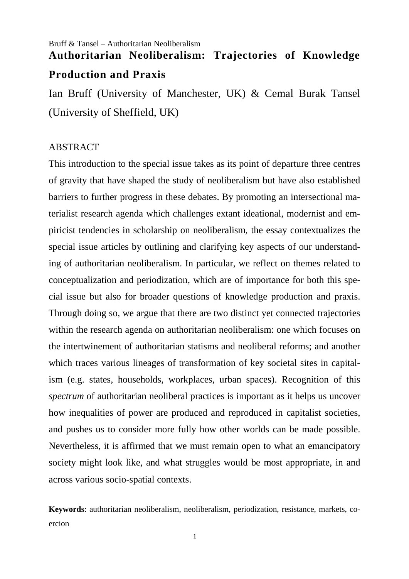## Bruff & Tansel – Authoritarian Neoliberalism **Authoritarian Neoliberalism: Trajectories of Knowledge**

## **Production and Praxis**

Ian Bruff (University of Manchester, UK) & Cemal Burak Tansel (University of Sheffield, UK)

## ABSTRACT

This introduction to the special issue takes as its point of departure three centres of gravity that have shaped the study of neoliberalism but have also established barriers to further progress in these debates. By promoting an intersectional materialist research agenda which challenges extant ideational, modernist and empiricist tendencies in scholarship on neoliberalism, the essay contextualizes the special issue articles by outlining and clarifying key aspects of our understanding of authoritarian neoliberalism. In particular, we reflect on themes related to conceptualization and periodization, which are of importance for both this special issue but also for broader questions of knowledge production and praxis. Through doing so, we argue that there are two distinct yet connected trajectories within the research agenda on authoritarian neoliberalism: one which focuses on the intertwinement of authoritarian statisms and neoliberal reforms; and another which traces various lineages of transformation of key societal sites in capitalism (e.g. states, households, workplaces, urban spaces). Recognition of this *spectrum* of authoritarian neoliberal practices is important as it helps us uncover how inequalities of power are produced and reproduced in capitalist societies, and pushes us to consider more fully how other worlds can be made possible. Nevertheless, it is affirmed that we must remain open to what an emancipatory society might look like, and what struggles would be most appropriate, in and across various socio-spatial contexts.

**Keywords**: authoritarian neoliberalism, neoliberalism, periodization, resistance, markets, coercion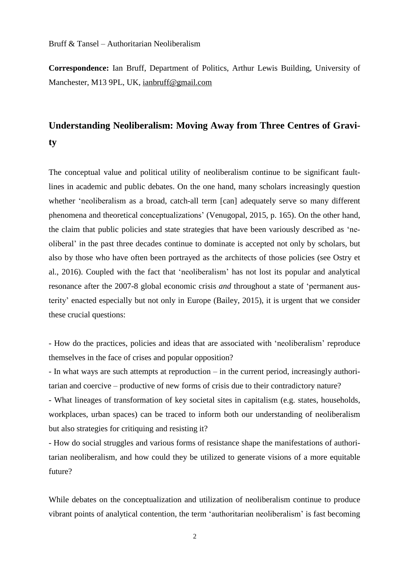**Correspondence:** Ian Bruff, Department of Politics, Arthur Lewis Building, University of Manchester, M13 9PL, UK, [ianbruff@gmail.com](mailto:ianbruff@gmail.com)

# **Understanding Neoliberalism: Moving Away from Three Centres of Gravity**

The conceptual value and political utility of neoliberalism continue to be significant faultlines in academic and public debates. On the one hand, many scholars increasingly question whether 'neoliberalism as a broad, catch-all term [can] adequately serve so many different phenomena and theoretical conceptualizations' (Venugopal, 2015, p. 165). On the other hand, the claim that public policies and state strategies that have been variously described as 'neoliberal' in the past three decades continue to dominate is accepted not only by scholars, but also by those who have often been portrayed as the architects of those policies (see Ostry et al., 2016). Coupled with the fact that 'neoliberalism' has not lost its popular and analytical resonance after the 2007-8 global economic crisis *and* throughout a state of 'permanent austerity' enacted especially but not only in Europe (Bailey, 2015), it is urgent that we consider these crucial questions:

- How do the practices, policies and ideas that are associated with 'neoliberalism' reproduce themselves in the face of crises and popular opposition?

- In what ways are such attempts at reproduction – in the current period, increasingly authoritarian and coercive – productive of new forms of crisis due to their contradictory nature?

- What lineages of transformation of key societal sites in capitalism (e.g. states, households, workplaces, urban spaces) can be traced to inform both our understanding of neoliberalism but also strategies for critiquing and resisting it?

- How do social struggles and various forms of resistance shape the manifestations of authoritarian neoliberalism, and how could they be utilized to generate visions of a more equitable future?

While debates on the conceptualization and utilization of neoliberalism continue to produce vibrant points of analytical contention, the term 'authoritarian neoliberalism' is fast becoming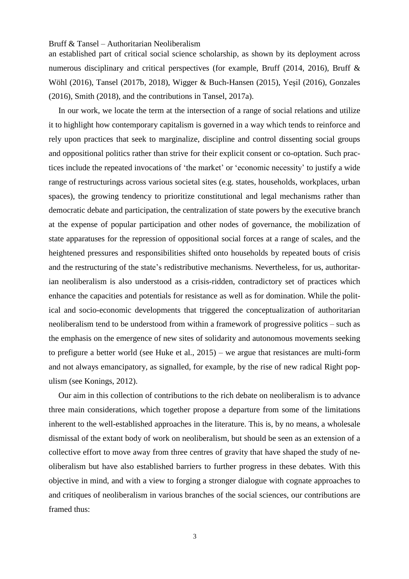an established part of critical social science scholarship, as shown by its deployment across numerous disciplinary and critical perspectives (for example, Bruff (2014, 2016), Bruff & Wöhl (2016), Tansel (2017b, 2018), Wigger & Buch-Hansen (2015), Yeşil (2016), Gonzales (2016), Smith (2018), and the contributions in Tansel, 2017a).

In our work, we locate the term at the intersection of a range of social relations and utilize it to highlight how contemporary capitalism is governed in a way which tends to reinforce and rely upon practices that seek to marginalize, discipline and control dissenting social groups and oppositional politics rather than strive for their explicit consent or co-optation. Such practices include the repeated invocations of 'the market' or 'economic necessity' to justify a wide range of restructurings across various societal sites (e.g. states, households, workplaces, urban spaces), the growing tendency to prioritize constitutional and legal mechanisms rather than democratic debate and participation, the centralization of state powers by the executive branch at the expense of popular participation and other nodes of governance, the mobilization of state apparatuses for the repression of oppositional social forces at a range of scales, and the heightened pressures and responsibilities shifted onto households by repeated bouts of crisis and the restructuring of the state's redistributive mechanisms. Nevertheless, for us, authoritarian neoliberalism is also understood as a crisis-ridden, contradictory set of practices which enhance the capacities and potentials for resistance as well as for domination. While the political and socio-economic developments that triggered the conceptualization of authoritarian neoliberalism tend to be understood from within a framework of progressive politics – such as the emphasis on the emergence of new sites of solidarity and autonomous movements seeking to prefigure a better world (see Huke et al., 2015) – we argue that resistances are multi-form and not always emancipatory, as signalled, for example, by the rise of new radical Right populism (see Konings, 2012).

Our aim in this collection of contributions to the rich debate on neoliberalism is to advance three main considerations, which together propose a departure from some of the limitations inherent to the well-established approaches in the literature. This is, by no means, a wholesale dismissal of the extant body of work on neoliberalism, but should be seen as an extension of a collective effort to move away from three centres of gravity that have shaped the study of neoliberalism but have also established barriers to further progress in these debates. With this objective in mind, and with a view to forging a stronger dialogue with cognate approaches to and critiques of neoliberalism in various branches of the social sciences, our contributions are framed thus: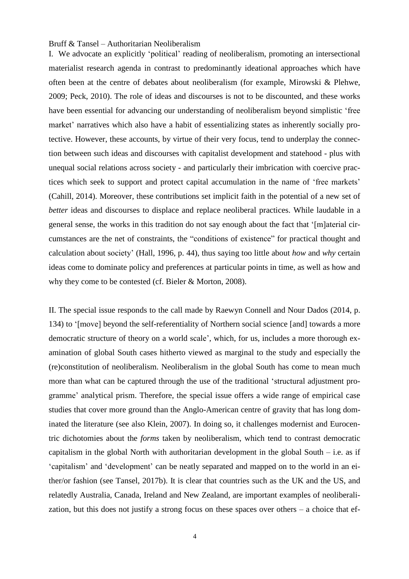I. We advocate an explicitly 'political' reading of neoliberalism, promoting an intersectional materialist research agenda in contrast to predominantly ideational approaches which have often been at the centre of debates about neoliberalism (for example, Mirowski & Plehwe, 2009; Peck, 2010). The role of ideas and discourses is not to be discounted, and these works have been essential for advancing our understanding of neoliberalism beyond simplistic 'free market' narratives which also have a habit of essentializing states as inherently socially protective. However, these accounts, by virtue of their very focus, tend to underplay the connection between such ideas and discourses with capitalist development and statehood - plus with unequal social relations across society - and particularly their imbrication with coercive practices which seek to support and protect capital accumulation in the name of 'free markets' (Cahill, 2014). Moreover, these contributions set implicit faith in the potential of a new set of *better* ideas and discourses to displace and replace neoliberal practices. While laudable in a general sense, the works in this tradition do not say enough about the fact that '[m]aterial circumstances are the net of constraints, the "conditions of existence" for practical thought and calculation about society' (Hall, 1996, p. 44), thus saying too little about *how* and *why* certain ideas come to dominate policy and preferences at particular points in time, as well as how and why they come to be contested (cf. Bieler & Morton, 2008).

II. The special issue responds to the call made by Raewyn Connell and Nour Dados (2014, p. 134) to '[move] beyond the self-referentiality of Northern social science [and] towards a more democratic structure of theory on a world scale', which, for us, includes a more thorough examination of global South cases hitherto viewed as marginal to the study and especially the (re)constitution of neoliberalism. Neoliberalism in the global South has come to mean much more than what can be captured through the use of the traditional 'structural adjustment programme' analytical prism. Therefore, the special issue offers a wide range of empirical case studies that cover more ground than the Anglo-American centre of gravity that has long dominated the literature (see also Klein, 2007). In doing so, it challenges modernist and Eurocentric dichotomies about the *forms* taken by neoliberalism, which tend to contrast democratic capitalism in the global North with authoritarian development in the global South  $-$  i.e. as if 'capitalism' and 'development' can be neatly separated and mapped on to the world in an either/or fashion (see Tansel, 2017b). It is clear that countries such as the UK and the US, and relatedly Australia, Canada, Ireland and New Zealand, are important examples of neoliberalization, but this does not justify a strong focus on these spaces over others – a choice that ef-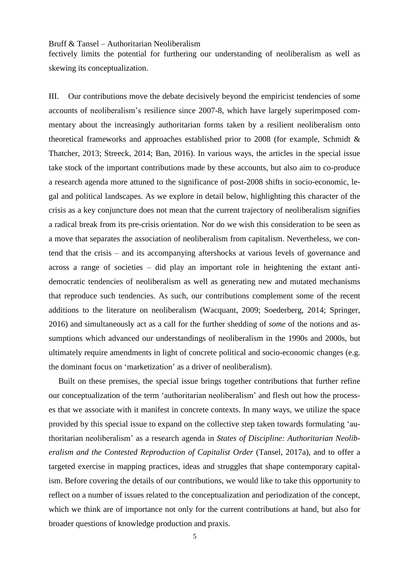fectively limits the potential for furthering our understanding of neoliberalism as well as skewing its conceptualization.

III. Our contributions move the debate decisively beyond the empiricist tendencies of some accounts of neoliberalism's resilience since 2007-8, which have largely superimposed commentary about the increasingly authoritarian forms taken by a resilient neoliberalism onto theoretical frameworks and approaches established prior to 2008 (for example, Schmidt & Thatcher, 2013; Streeck, 2014; Ban, 2016). In various ways, the articles in the special issue take stock of the important contributions made by these accounts, but also aim to co-produce a research agenda more attuned to the significance of post-2008 shifts in socio-economic, legal and political landscapes. As we explore in detail below, highlighting this character of the crisis as a key conjuncture does not mean that the current trajectory of neoliberalism signifies a radical break from its pre-crisis orientation. Nor do we wish this consideration to be seen as a move that separates the association of neoliberalism from capitalism. Nevertheless, we contend that the crisis – and its accompanying aftershocks at various levels of governance and across a range of societies – did play an important role in heightening the extant antidemocratic tendencies of neoliberalism as well as generating new and mutated mechanisms that reproduce such tendencies. As such, our contributions complement some of the recent additions to the literature on neoliberalism (Wacquant, 2009; Soederberg, 2014; Springer, 2016) and simultaneously act as a call for the further shedding of *some* of the notions and assumptions which advanced our understandings of neoliberalism in the 1990s and 2000s, but ultimately require amendments in light of concrete political and socio-economic changes (e.g. the dominant focus on 'marketization' as a driver of neoliberalism).

Built on these premises, the special issue brings together contributions that further refine our conceptualization of the term 'authoritarian neoliberalism' and flesh out how the processes that we associate with it manifest in concrete contexts. In many ways, we utilize the space provided by this special issue to expand on the collective step taken towards formulating 'authoritarian neoliberalism' as a research agenda in *States of Discipline: Authoritarian Neoliberalism and the Contested Reproduction of Capitalist Order* (Tansel, 2017a), and to offer a targeted exercise in mapping practices, ideas and struggles that shape contemporary capitalism. Before covering the details of our contributions, we would like to take this opportunity to reflect on a number of issues related to the conceptualization and periodization of the concept, which we think are of importance not only for the current contributions at hand, but also for broader questions of knowledge production and praxis.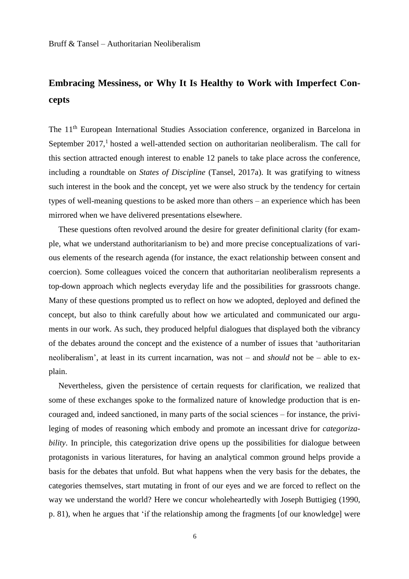# **Embracing Messiness, or Why It Is Healthy to Work with Imperfect Concepts**

The 11<sup>th</sup> European International Studies Association conference, organized in Barcelona in September 2017,<sup>1</sup> hosted a well-attended section on authoritarian neoliberalism. The call for this section attracted enough interest to enable 12 panels to take place across the conference, including a roundtable on *States of Discipline* (Tansel, 2017a). It was gratifying to witness such interest in the book and the concept, yet we were also struck by the tendency for certain types of well-meaning questions to be asked more than others – an experience which has been mirrored when we have delivered presentations elsewhere.

These questions often revolved around the desire for greater definitional clarity (for example, what we understand authoritarianism to be) and more precise conceptualizations of various elements of the research agenda (for instance, the exact relationship between consent and coercion). Some colleagues voiced the concern that authoritarian neoliberalism represents a top-down approach which neglects everyday life and the possibilities for grassroots change. Many of these questions prompted us to reflect on how we adopted, deployed and defined the concept, but also to think carefully about how we articulated and communicated our arguments in our work. As such, they produced helpful dialogues that displayed both the vibrancy of the debates around the concept and the existence of a number of issues that 'authoritarian neoliberalism', at least in its current incarnation, was not – and *should* not be – able to explain.

Nevertheless, given the persistence of certain requests for clarification, we realized that some of these exchanges spoke to the formalized nature of knowledge production that is encouraged and, indeed sanctioned, in many parts of the social sciences – for instance, the privileging of modes of reasoning which embody and promote an incessant drive for *categorizability*. In principle, this categorization drive opens up the possibilities for dialogue between protagonists in various literatures, for having an analytical common ground helps provide a basis for the debates that unfold. But what happens when the very basis for the debates, the categories themselves, start mutating in front of our eyes and we are forced to reflect on the way we understand the world? Here we concur wholeheartedly with Joseph Buttigieg (1990, p. 81), when he argues that 'if the relationship among the fragments [of our knowledge] were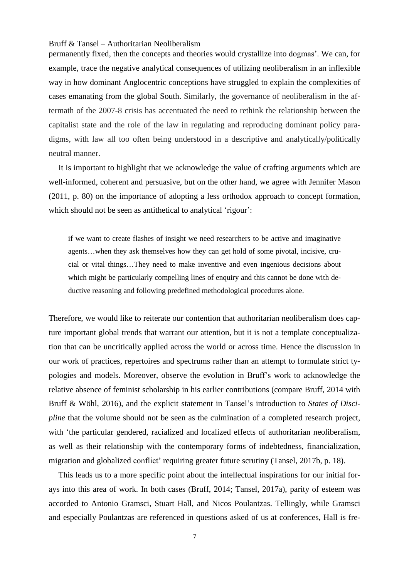permanently fixed, then the concepts and theories would crystallize into dogmas'. We can, for example, trace the negative analytical consequences of utilizing neoliberalism in an inflexible way in how dominant Anglocentric conceptions have struggled to explain the complexities of cases emanating from the global South. Similarly, the governance of neoliberalism in the aftermath of the 2007-8 crisis has accentuated the need to rethink the relationship between the capitalist state and the role of the law in regulating and reproducing dominant policy paradigms, with law all too often being understood in a descriptive and analytically/politically neutral manner.

It is important to highlight that we acknowledge the value of crafting arguments which are well-informed, coherent and persuasive, but on the other hand, we agree with Jennifer Mason (2011, p. 80) on the importance of adopting a less orthodox approach to concept formation, which should not be seen as antithetical to analytical 'rigour':

if we want to create flashes of insight we need researchers to be active and imaginative agents…when they ask themselves how they can get hold of some pivotal, incisive, crucial or vital things…They need to make inventive and even ingenious decisions about which might be particularly compelling lines of enquiry and this cannot be done with deductive reasoning and following predefined methodological procedures alone.

Therefore, we would like to reiterate our contention that authoritarian neoliberalism does capture important global trends that warrant our attention, but it is not a template conceptualization that can be uncritically applied across the world or across time. Hence the discussion in our work of practices, repertoires and spectrums rather than an attempt to formulate strict typologies and models. Moreover, observe the evolution in Bruff's work to acknowledge the relative absence of feminist scholarship in his earlier contributions (compare Bruff, 2014 with Bruff & Wöhl, 2016), and the explicit statement in Tansel's introduction to *States of Discipline* that the volume should not be seen as the culmination of a completed research project, with 'the particular gendered, racialized and localized effects of authoritarian neoliberalism, as well as their relationship with the contemporary forms of indebtedness, financialization, migration and globalized conflict' requiring greater future scrutiny (Tansel, 2017b, p. 18).

This leads us to a more specific point about the intellectual inspirations for our initial forays into this area of work. In both cases (Bruff, 2014; Tansel, 2017a), parity of esteem was accorded to Antonio Gramsci, Stuart Hall, and Nicos Poulantzas. Tellingly, while Gramsci and especially Poulantzas are referenced in questions asked of us at conferences, Hall is fre-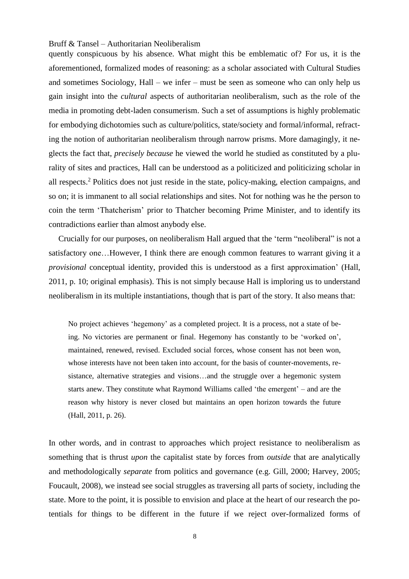quently conspicuous by his absence. What might this be emblematic of? For us, it is the aforementioned, formalized modes of reasoning: as a scholar associated with Cultural Studies and sometimes Sociology, Hall – we infer – must be seen as someone who can only help us gain insight into the *cultural* aspects of authoritarian neoliberalism, such as the role of the media in promoting debt-laden consumerism. Such a set of assumptions is highly problematic for embodying dichotomies such as culture/politics, state/society and formal/informal, refracting the notion of authoritarian neoliberalism through narrow prisms. More damagingly, it neglects the fact that, *precisely because* he viewed the world he studied as constituted by a plurality of sites and practices, Hall can be understood as a politicized and politicizing scholar in all respects. <sup>2</sup> Politics does not just reside in the state, policy-making, election campaigns, and so on; it is immanent to all social relationships and sites. Not for nothing was he the person to coin the term 'Thatcherism' prior to Thatcher becoming Prime Minister, and to identify its contradictions earlier than almost anybody else.

Crucially for our purposes, on neoliberalism Hall argued that the 'term "neoliberal" is not a satisfactory one…However, I think there are enough common features to warrant giving it a *provisional* conceptual identity, provided this is understood as a first approximation' (Hall, 2011, p. 10; original emphasis). This is not simply because Hall is imploring us to understand neoliberalism in its multiple instantiations, though that is part of the story. It also means that:

No project achieves 'hegemony' as a completed project. It is a process, not a state of being. No victories are permanent or final. Hegemony has constantly to be 'worked on', maintained, renewed, revised. Excluded social forces, whose consent has not been won, whose interests have not been taken into account, for the basis of counter-movements, resistance, alternative strategies and visions…and the struggle over a hegemonic system starts anew. They constitute what Raymond Williams called 'the emergent' – and are the reason why history is never closed but maintains an open horizon towards the future (Hall, 2011, p. 26).

In other words, and in contrast to approaches which project resistance to neoliberalism as something that is thrust *upon* the capitalist state by forces from *outside* that are analytically and methodologically *separate* from politics and governance (e.g. Gill, 2000; Harvey, 2005; Foucault, 2008), we instead see social struggles as traversing all parts of society, including the state. More to the point, it is possible to envision and place at the heart of our research the potentials for things to be different in the future if we reject over-formalized forms of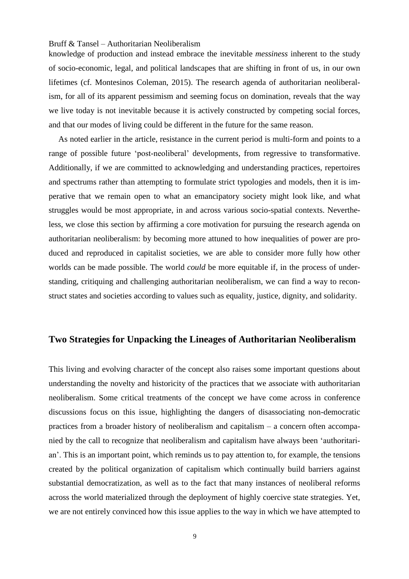knowledge of production and instead embrace the inevitable *messiness* inherent to the study of socio-economic, legal, and political landscapes that are shifting in front of us, in our own lifetimes (cf. Montesinos Coleman, 2015). The research agenda of authoritarian neoliberalism, for all of its apparent pessimism and seeming focus on domination, reveals that the way we live today is not inevitable because it is actively constructed by competing social forces, and that our modes of living could be different in the future for the same reason.

As noted earlier in the article, resistance in the current period is multi-form and points to a range of possible future 'post-neoliberal' developments, from regressive to transformative. Additionally, if we are committed to acknowledging and understanding practices, repertoires and spectrums rather than attempting to formulate strict typologies and models, then it is imperative that we remain open to what an emancipatory society might look like, and what struggles would be most appropriate, in and across various socio-spatial contexts. Nevertheless, we close this section by affirming a core motivation for pursuing the research agenda on authoritarian neoliberalism: by becoming more attuned to how inequalities of power are produced and reproduced in capitalist societies, we are able to consider more fully how other worlds can be made possible. The world *could* be more equitable if, in the process of understanding, critiquing and challenging authoritarian neoliberalism, we can find a way to reconstruct states and societies according to values such as equality, justice, dignity, and solidarity.

## **Two Strategies for Unpacking the Lineages of Authoritarian Neoliberalism**

This living and evolving character of the concept also raises some important questions about understanding the novelty and historicity of the practices that we associate with authoritarian neoliberalism. Some critical treatments of the concept we have come across in conference discussions focus on this issue, highlighting the dangers of disassociating non-democratic practices from a broader history of neoliberalism and capitalism – a concern often accompanied by the call to recognize that neoliberalism and capitalism have always been 'authoritarian'. This is an important point, which reminds us to pay attention to, for example, the tensions created by the political organization of capitalism which continually build barriers against substantial democratization, as well as to the fact that many instances of neoliberal reforms across the world materialized through the deployment of highly coercive state strategies. Yet, we are not entirely convinced how this issue applies to the way in which we have attempted to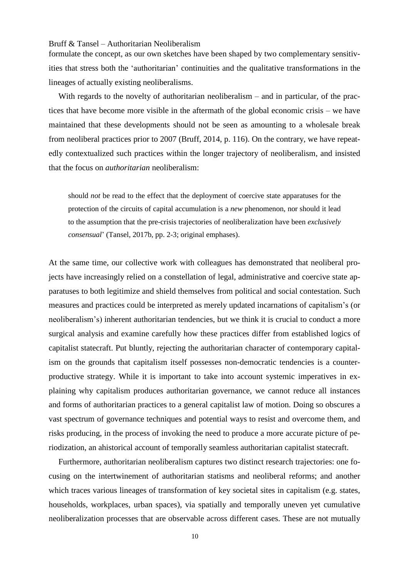formulate the concept, as our own sketches have been shaped by two complementary sensitivities that stress both the 'authoritarian' continuities and the qualitative transformations in the lineages of actually existing neoliberalisms.

With regards to the novelty of authoritarian neoliberalism – and in particular, of the practices that have become more visible in the aftermath of the global economic crisis – we have maintained that these developments should not be seen as amounting to a wholesale break from neoliberal practices prior to 2007 (Bruff, 2014, p. 116). On the contrary, we have repeatedly contextualized such practices within the longer trajectory of neoliberalism, and insisted that the focus on *authoritarian* neoliberalism:

should *not* be read to the effect that the deployment of coercive state apparatuses for the protection of the circuits of capital accumulation is a *new* phenomenon, nor should it lead to the assumption that the pre-crisis trajectories of neoliberalization have been *exclusively consensual*' (Tansel, 2017b, pp. 2-3; original emphases).

At the same time, our collective work with colleagues has demonstrated that neoliberal projects have increasingly relied on a constellation of legal, administrative and coercive state apparatuses to both legitimize and shield themselves from political and social contestation. Such measures and practices could be interpreted as merely updated incarnations of capitalism's (or neoliberalism's) inherent authoritarian tendencies, but we think it is crucial to conduct a more surgical analysis and examine carefully how these practices differ from established logics of capitalist statecraft. Put bluntly, rejecting the authoritarian character of contemporary capitalism on the grounds that capitalism itself possesses non-democratic tendencies is a counterproductive strategy. While it is important to take into account systemic imperatives in explaining why capitalism produces authoritarian governance, we cannot reduce all instances and forms of authoritarian practices to a general capitalist law of motion. Doing so obscures a vast spectrum of governance techniques and potential ways to resist and overcome them, and risks producing, in the process of invoking the need to produce a more accurate picture of periodization, an ahistorical account of temporally seamless authoritarian capitalist statecraft.

Furthermore, authoritarian neoliberalism captures two distinct research trajectories: one focusing on the intertwinement of authoritarian statisms and neoliberal reforms; and another which traces various lineages of transformation of key societal sites in capitalism (e.g. states, households, workplaces, urban spaces), via spatially and temporally uneven yet cumulative neoliberalization processes that are observable across different cases. These are not mutually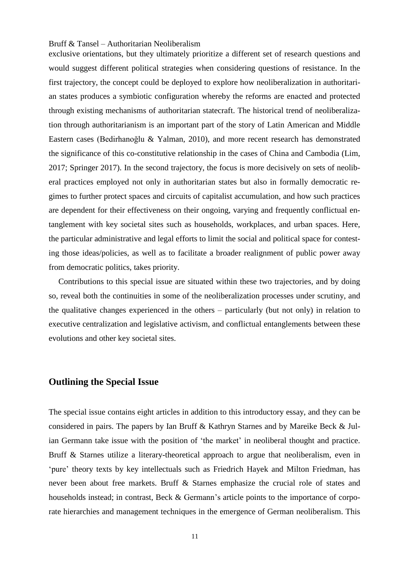exclusive orientations, but they ultimately prioritize a different set of research questions and would suggest different political strategies when considering questions of resistance. In the first trajectory, the concept could be deployed to explore how neoliberalization in authoritarian states produces a symbiotic configuration whereby the reforms are enacted and protected through existing mechanisms of authoritarian statecraft. The historical trend of neoliberalization through authoritarianism is an important part of the story of Latin American and Middle Eastern cases (Bedirhanoğlu & Yalman, 2010), and more recent research has demonstrated the significance of this co-constitutive relationship in the cases of China and Cambodia (Lim, 2017; Springer 2017). In the second trajectory, the focus is more decisively on sets of neoliberal practices employed not only in authoritarian states but also in formally democratic regimes to further protect spaces and circuits of capitalist accumulation, and how such practices are dependent for their effectiveness on their ongoing, varying and frequently conflictual entanglement with key societal sites such as households, workplaces, and urban spaces. Here, the particular administrative and legal efforts to limit the social and political space for contesting those ideas/policies, as well as to facilitate a broader realignment of public power away from democratic politics, takes priority.

Contributions to this special issue are situated within these two trajectories, and by doing so, reveal both the continuities in some of the neoliberalization processes under scrutiny, and the qualitative changes experienced in the others – particularly (but not only) in relation to executive centralization and legislative activism, and conflictual entanglements between these evolutions and other key societal sites.

## **Outlining the Special Issue**

The special issue contains eight articles in addition to this introductory essay, and they can be considered in pairs. The papers by Ian Bruff & Kathryn Starnes and by Mareike Beck & Julian Germann take issue with the position of 'the market' in neoliberal thought and practice. Bruff & Starnes utilize a literary-theoretical approach to argue that neoliberalism, even in 'pure' theory texts by key intellectuals such as Friedrich Hayek and Milton Friedman, has never been about free markets. Bruff & Starnes emphasize the crucial role of states and households instead; in contrast, Beck & Germann's article points to the importance of corporate hierarchies and management techniques in the emergence of German neoliberalism. This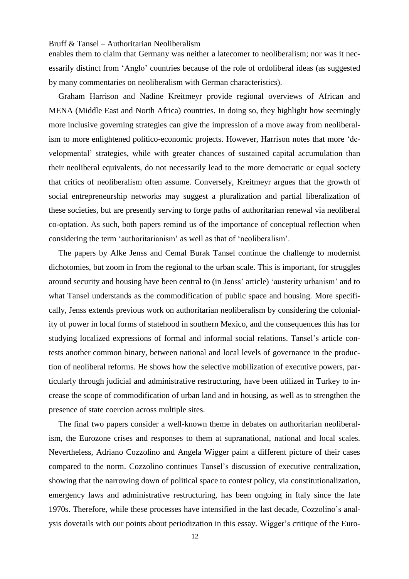enables them to claim that Germany was neither a latecomer to neoliberalism; nor was it necessarily distinct from 'Anglo' countries because of the role of ordoliberal ideas (as suggested by many commentaries on neoliberalism with German characteristics).

Graham Harrison and Nadine Kreitmeyr provide regional overviews of African and MENA (Middle East and North Africa) countries. In doing so, they highlight how seemingly more inclusive governing strategies can give the impression of a move away from neoliberalism to more enlightened politico-economic projects. However, Harrison notes that more 'developmental' strategies, while with greater chances of sustained capital accumulation than their neoliberal equivalents, do not necessarily lead to the more democratic or equal society that critics of neoliberalism often assume. Conversely, Kreitmeyr argues that the growth of social entrepreneurship networks may suggest a pluralization and partial liberalization of these societies, but are presently serving to forge paths of authoritarian renewal via neoliberal co-optation. As such, both papers remind us of the importance of conceptual reflection when considering the term 'authoritarianism' as well as that of 'neoliberalism'.

The papers by Alke Jenss and Cemal Burak Tansel continue the challenge to modernist dichotomies, but zoom in from the regional to the urban scale. This is important, for struggles around security and housing have been central to (in Jenss' article) 'austerity urbanism' and to what Tansel understands as the commodification of public space and housing. More specifically, Jenss extends previous work on authoritarian neoliberalism by considering the coloniality of power in local forms of statehood in southern Mexico, and the consequences this has for studying localized expressions of formal and informal social relations. Tansel's article contests another common binary, between national and local levels of governance in the production of neoliberal reforms. He shows how the selective mobilization of executive powers, particularly through judicial and administrative restructuring, have been utilized in Turkey to increase the scope of commodification of urban land and in housing, as well as to strengthen the presence of state coercion across multiple sites.

The final two papers consider a well-known theme in debates on authoritarian neoliberalism, the Eurozone crises and responses to them at supranational, national and local scales. Nevertheless, Adriano Cozzolino and Angela Wigger paint a different picture of their cases compared to the norm. Cozzolino continues Tansel's discussion of executive centralization, showing that the narrowing down of political space to contest policy, via constitutionalization, emergency laws and administrative restructuring, has been ongoing in Italy since the late 1970s. Therefore, while these processes have intensified in the last decade, Cozzolino's analysis dovetails with our points about periodization in this essay. Wigger's critique of the Euro-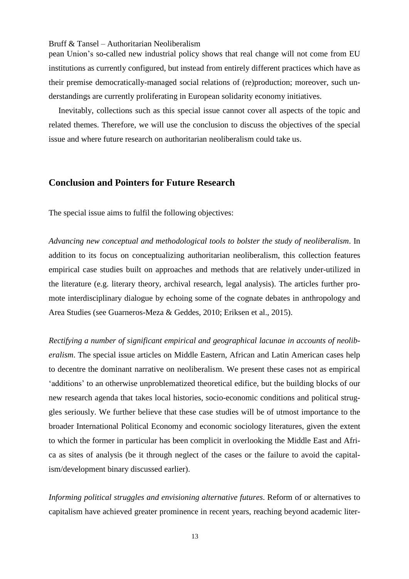pean Union's so-called new industrial policy shows that real change will not come from EU institutions as currently configured, but instead from entirely different practices which have as their premise democratically-managed social relations of (re)production; moreover, such understandings are currently proliferating in European solidarity economy initiatives.

Inevitably, collections such as this special issue cannot cover all aspects of the topic and related themes. Therefore, we will use the conclusion to discuss the objectives of the special issue and where future research on authoritarian neoliberalism could take us.

### **Conclusion and Pointers for Future Research**

The special issue aims to fulfil the following objectives:

*Advancing new conceptual and methodological tools to bolster the study of neoliberalism*. In addition to its focus on conceptualizing authoritarian neoliberalism, this collection features empirical case studies built on approaches and methods that are relatively under-utilized in the literature (e.g. literary theory, archival research, legal analysis). The articles further promote interdisciplinary dialogue by echoing some of the cognate debates in anthropology and Area Studies (see Guarneros-Meza & Geddes, 2010; Eriksen et al., 2015).

*Rectifying a number of significant empirical and geographical lacunae in accounts of neoliberalism*. The special issue articles on Middle Eastern, African and Latin American cases help to decentre the dominant narrative on neoliberalism. We present these cases not as empirical 'additions' to an otherwise unproblematized theoretical edifice, but the building blocks of our new research agenda that takes local histories, socio-economic conditions and political struggles seriously. We further believe that these case studies will be of utmost importance to the broader International Political Economy and economic sociology literatures, given the extent to which the former in particular has been complicit in overlooking the Middle East and Africa as sites of analysis (be it through neglect of the cases or the failure to avoid the capitalism/development binary discussed earlier).

*Informing political struggles and envisioning alternative futures*. Reform of or alternatives to capitalism have achieved greater prominence in recent years, reaching beyond academic liter-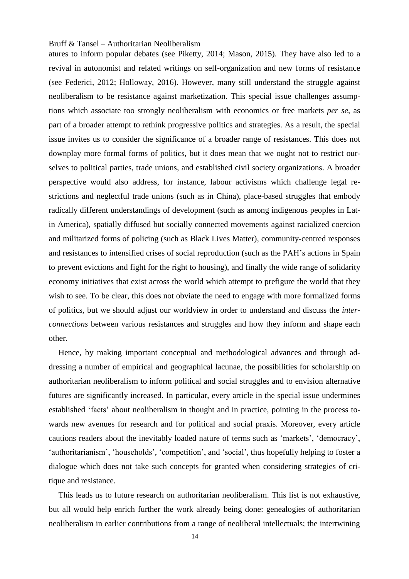atures to inform popular debates (see Piketty, 2014; Mason, 2015). They have also led to a revival in autonomist and related writings on self-organization and new forms of resistance (see Federici, 2012; Holloway, 2016). However, many still understand the struggle against neoliberalism to be resistance against marketization. This special issue challenges assumptions which associate too strongly neoliberalism with economics or free markets *per se*, as part of a broader attempt to rethink progressive politics and strategies. As a result, the special issue invites us to consider the significance of a broader range of resistances. This does not downplay more formal forms of politics, but it does mean that we ought not to restrict ourselves to political parties, trade unions, and established civil society organizations. A broader perspective would also address, for instance, labour activisms which challenge legal restrictions and neglectful trade unions (such as in China), place-based struggles that embody radically different understandings of development (such as among indigenous peoples in Latin America), spatially diffused but socially connected movements against racialized coercion and militarized forms of policing (such as Black Lives Matter), community-centred responses and resistances to intensified crises of social reproduction (such as the PAH's actions in Spain to prevent evictions and fight for the right to housing), and finally the wide range of solidarity economy initiatives that exist across the world which attempt to prefigure the world that they wish to see. To be clear, this does not obviate the need to engage with more formalized forms of politics, but we should adjust our worldview in order to understand and discuss the *interconnections* between various resistances and struggles and how they inform and shape each other.

Hence, by making important conceptual and methodological advances and through addressing a number of empirical and geographical lacunae, the possibilities for scholarship on authoritarian neoliberalism to inform political and social struggles and to envision alternative futures are significantly increased. In particular, every article in the special issue undermines established 'facts' about neoliberalism in thought and in practice, pointing in the process towards new avenues for research and for political and social praxis. Moreover, every article cautions readers about the inevitably loaded nature of terms such as 'markets', 'democracy', 'authoritarianism', 'households', 'competition', and 'social', thus hopefully helping to foster a dialogue which does not take such concepts for granted when considering strategies of critique and resistance.

This leads us to future research on authoritarian neoliberalism. This list is not exhaustive, but all would help enrich further the work already being done: genealogies of authoritarian neoliberalism in earlier contributions from a range of neoliberal intellectuals; the intertwining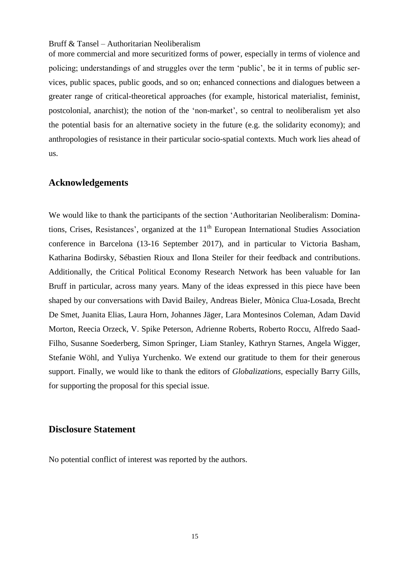of more commercial and more securitized forms of power, especially in terms of violence and policing; understandings of and struggles over the term 'public', be it in terms of public services, public spaces, public goods, and so on; enhanced connections and dialogues between a greater range of critical-theoretical approaches (for example, historical materialist, feminist, postcolonial, anarchist); the notion of the 'non-market', so central to neoliberalism yet also the potential basis for an alternative society in the future (e.g. the solidarity economy); and anthropologies of resistance in their particular socio-spatial contexts. Much work lies ahead of us.

#### **Acknowledgements**

We would like to thank the participants of the section 'Authoritarian Neoliberalism: Dominations, Crises, Resistances', organized at the 11<sup>th</sup> European International Studies Association conference in Barcelona (13-16 September 2017), and in particular to Victoria Basham, Katharina Bodirsky, Sébastien Rioux and Ilona Steiler for their feedback and contributions. Additionally, the Critical Political Economy Research Network has been valuable for Ian Bruff in particular, across many years. Many of the ideas expressed in this piece have been shaped by our conversations with David Bailey, Andreas Bieler, Mònica Clua-Losada, Brecht De Smet, Juanita Elias, Laura Horn, Johannes Jäger, Lara Montesinos Coleman, Adam David Morton, Reecia Orzeck, V. Spike Peterson, Adrienne Roberts, Roberto Roccu, Alfredo Saad-Filho, Susanne Soederberg, Simon Springer, Liam Stanley, Kathryn Starnes, Angela Wigger, Stefanie Wöhl, and Yuliya Yurchenko. We extend our gratitude to them for their generous support. Finally, we would like to thank the editors of *Globalizations*, especially Barry Gills, for supporting the proposal for this special issue.

### **Disclosure Statement**

No potential conflict of interest was reported by the authors.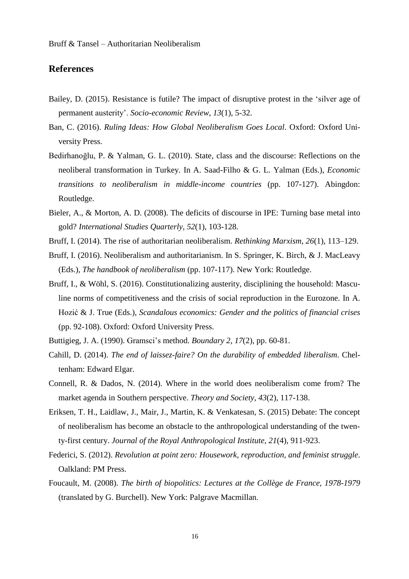## **References**

- Bailey, D. (2015). Resistance is futile? The impact of disruptive protest in the 'silver age of permanent austerity'. *Socio-economic Review*, *13*(1), 5-32.
- Ban, C. (2016). *Ruling Ideas: How Global Neoliberalism Goes Local*. Oxford: Oxford University Press.
- Bedirhanoğlu, P. & Yalman, G. L. (2010). State, class and the discourse: Reflections on the neoliberal transformation in Turkey. In A. Saad-Filho & G. L. Yalman (Eds.), *Economic transitions to neoliberalism in middle-income countries* (pp. 107-127). Abingdon: Routledge.
- Bieler, A., & Morton, A. D. (2008). The deficits of discourse in IPE: Turning base metal into gold? *International Studies Quarterly*, *52*(1), 103-128.
- Bruff, I. (2014). The rise of authoritarian neoliberalism. *Rethinking Marxism*, *26*(1), 113–129.
- Bruff, I. (2016). Neoliberalism and authoritarianism. In S. Springer, K. Birch, & J. MacLeavy (Eds.), *The handbook of neoliberalism* (pp. 107-117). New York: Routledge.
- Bruff, I., & Wöhl, S. (2016). Constitutionalizing austerity, disciplining the household: Masculine norms of competitiveness and the crisis of social reproduction in the Eurozone. In A. Hozić & J. True (Eds.), *Scandalous economics: Gender and the politics of financial crises* (pp. 92-108). Oxford: Oxford University Press.
- Buttigieg, J. A. (1990). Gramsci's method. *Boundary 2*, *17*(2), pp. 60-81.
- Cahill, D. (2014). *The end of laissez-faire? On the durability of embedded liberalism*. Cheltenham: Edward Elgar.
- Connell, R. & Dados, N. (2014). Where in the world does neoliberalism come from? The market agenda in Southern perspective. *Theory and Society*, *43*(2), 117-138.
- Eriksen, T. H., Laidlaw, J., Mair, J., Martin, K. & Venkatesan, S. (2015) Debate: The concept of neoliberalism has become an obstacle to the anthropological understanding of the twenty-first century. *Journal of the Royal Anthropological Institute*, *21*(4), 911-923.
- Federici, S. (2012). *Revolution at point zero: Housework, reproduction, and feminist struggle*. Oalkland: PM Press.
- Foucault, M. (2008). *The birth of biopolitics: Lectures at the Collège de France, 1978-1979* (translated by G. Burchell). New York: Palgrave Macmillan.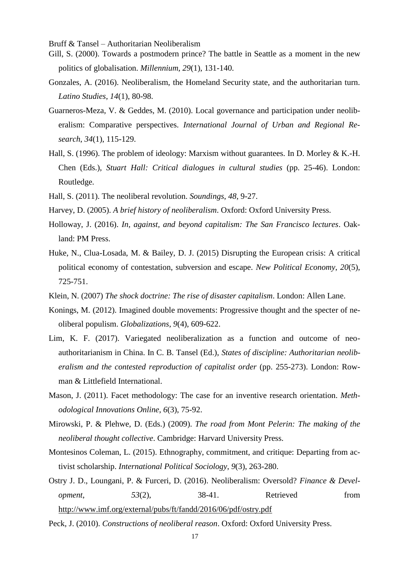- Gill, S. (2000). Towards a postmodern prince? The battle in Seattle as a moment in the new politics of globalisation. *Millennium*, *29*(1), 131-140.
- Gonzales, A. (2016). Neoliberalism, the Homeland Security state, and the authoritarian turn. *Latino Studies*, *14*(1), 80-98.
- Guarneros-Meza, V. & Geddes, M. (2010). Local governance and participation under neoliberalism: Comparative perspectives. *International Journal of Urban and Regional Research*, *34*(1), 115-129.
- Hall, S. (1996). The problem of ideology: Marxism without guarantees. In D. Morley & K.-H. Chen (Eds.), *Stuart Hall: Critical dialogues in cultural studies* (pp. 25-46). London: Routledge.
- Hall, S. (2011). The neoliberal revolution. *Soundings*, *48*, 9-27.
- Harvey, D. (2005). *A brief history of neoliberalism*. Oxford: Oxford University Press.
- Holloway, J. (2016). *In, against, and beyond capitalism: The San Francisco lectures*. Oakland: PM Press.
- Huke, N., Clua-Losada, M. & Bailey, D. J. (2015) Disrupting the European crisis: A critical political economy of contestation, subversion and escape. *New Political Economy*, *20*(5), 725-751.
- Klein, N. (2007) *The shock doctrine: The rise of disaster capitalism*. London: Allen Lane.
- Konings, M. (2012). Imagined double movements: Progressive thought and the specter of neoliberal populism. *Globalizations*, *9*(4), 609-622.
- Lim, K. F. (2017). Variegated neoliberalization as a function and outcome of neoauthoritarianism in China. In C. B. Tansel (Ed.), *States of discipline: Authoritarian neoliberalism and the contested reproduction of capitalist order* (pp. 255-273). London: Rowman & Littlefield International.
- Mason, J. (2011). Facet methodology: The case for an inventive research orientation. *Methodological Innovations Online*, *6*(3), 75-92.
- Mirowski, P. & Plehwe, D. (Eds.) (2009). *The road from Mont Pelerin: The making of the neoliberal thought collective*. Cambridge: Harvard University Press.
- Montesinos Coleman, L. (2015). Ethnography, commitment, and critique: Departing from activist scholarship. *International Political Sociology*, *9*(3), 263-280.
- Ostry J. D., Loungani, P. & Furceri, D. (2016). Neoliberalism: Oversold? *Finance & Development*, 53(2), 38-41. Retrieved from <http://www.imf.org/external/pubs/ft/fandd/2016/06/pdf/ostry.pdf>
- Peck, J. (2010). *Constructions of neoliberal reason*. Oxford: Oxford University Press.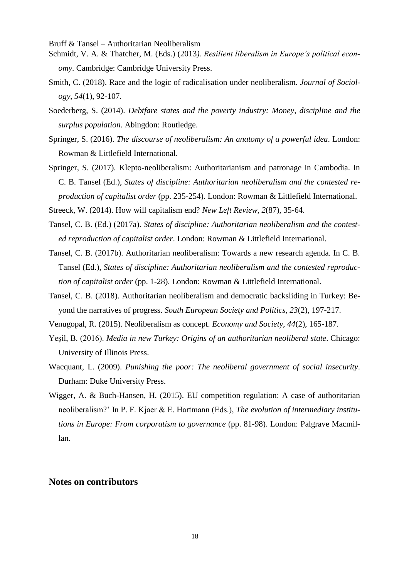- Schmidt, V. A. & Thatcher, M. (Eds.) (2013*). Resilient liberalism in Europe's political economy*. Cambridge: Cambridge University Press.
- Smith, C. (2018). Race and the logic of radicalisation under neoliberalism. *Journal of Sociology*, *54*(1), 92-107.
- Soederberg, S. (2014). *Debtfare states and the poverty industry: Money, discipline and the surplus population*. Abingdon: Routledge.
- Springer, S. (2016). *The discourse of neoliberalism: An anatomy of a powerful idea*. London: Rowman & Littlefield International.
- Springer, S. (2017). Klepto-neoliberalism: Authoritarianism and patronage in Cambodia. In C. B. Tansel (Ed.), *States of discipline: Authoritarian neoliberalism and the contested reproduction of capitalist order* (pp. 235-254). London: Rowman & Littlefield International.

Streeck, W. (2014). How will capitalism end? *New Left Review*, *2*(87), 35-64.

- Tansel, C. B. (Ed.) (2017a). *States of discipline: Authoritarian neoliberalism and the contested reproduction of capitalist order*. London: Rowman & Littlefield International.
- Tansel, C. B. (2017b). Authoritarian neoliberalism: Towards a new research agenda. In C. B. Tansel (Ed.), *States of discipline: Authoritarian neoliberalism and the contested reproduction of capitalist order* (pp. 1-28). London: Rowman & Littlefield International.
- Tansel, C. B. (2018). Authoritarian neoliberalism and democratic backsliding in Turkey: Beyond the narratives of progress. *South European Society and Politics*, *23*(2), 197-217.
- Venugopal, R. (2015). Neoliberalism as concept. *Economy and Society*, *44*(2), 165-187.
- Yeşil, B. (2016). *Media in new Turkey: Origins of an authoritarian neoliberal state*. Chicago: University of Illinois Press.
- Wacquant, L. (2009). *Punishing the poor: The neoliberal government of social insecurity*. Durham: Duke University Press.
- Wigger, A. & Buch-Hansen, H. (2015). EU competition regulation: A case of authoritarian neoliberalism?' In P. F. Kjaer & E. Hartmann (Eds.), *The evolution of intermediary institutions in Europe: From corporatism to governance* (pp. 81-98). London: Palgrave Macmillan.

## **Notes on contributors**